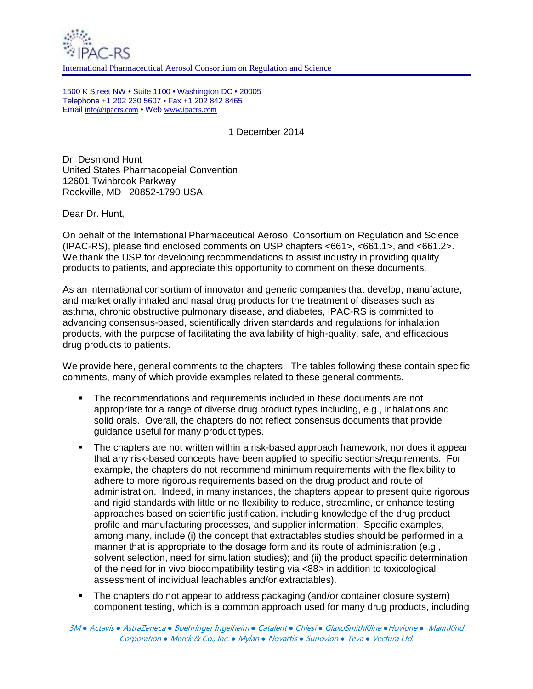

International Pharmaceutical Aerosol Consortium on Regulation and Science

1500 K Street NW • Suite 1100 • Washington DC • 20005 Telephone +1 202 230 5607 • Fax +1 202 842 8465 Email info@ipacrs.com • Web www.ipacrs.com

1 December 2014

Dr. Desmond Hunt United States Pharmacopeial Convention 12601 Twinbrook Parkway Rockville, MD 20852-1790 USA

Dear Dr. Hunt,

On behalf of the International Pharmaceutical Aerosol Consortium on Regulation and Science (IPAC-RS), please find enclosed comments on USP chapters <661>, <661.1>, and <661.2>. We thank the USP for developing recommendations to assist industry in providing quality products to patients, and appreciate this opportunity to comment on these documents.

As an international consortium of innovator and generic companies that develop, manufacture, and market orally inhaled and nasal drug products for the treatment of diseases such as asthma, chronic obstructive pulmonary disease, and diabetes, IPAC-RS is committed to advancing consensus-based, scientifically driven standards and regulations for inhalation products, with the purpose of facilitating the availability of high-quality, safe, and efficacious drug products to patients.

We provide here, general comments to the chapters. The tables following these contain specific comments, many of which provide examples related to these general comments.

- The recommendations and requirements included in these documents are not appropriate for a range of diverse drug product types including, e.g., inhalations and solid orals. Overall, the chapters do not reflect consensus documents that provide guidance useful for many product types.
- The chapters are not written within a risk-based approach framework, nor does it appear that any risk-based concepts have been applied to specific sections/requirements. For example, the chapters do not recommend minimum requirements with the flexibility to adhere to more rigorous requirements based on the drug product and route of administration. Indeed, in many instances, the chapters appear to present quite rigorous and rigid standards with little or no flexibility to reduce, streamline, or enhance testing approaches based on scientific justification, including knowledge of the drug product profile and manufacturing processes, and supplier information. Specific examples, among many, include (i) the concept that extractables studies should be performed in a manner that is appropriate to the dosage form and its route of administration (e.g., solvent selection, need for simulation studies); and (ii) the product specific determination of the need for in vivo biocompatibility testing via <88> in addition to toxicological assessment of individual leachables and/or extractables).
- The chapters do not appear to address packaging (and/or container closure system) component testing, which is a common approach used for many drug products, including

3M *●* Actavis *●* AstraZeneca *●* Boehringer Ingelheim *●* Catalent *●* Chiesi *●* GlaxoSmithKline *●*Hovione *●* MannKind Corporation *●* Merck & Co., Inc. *●* Mylan *●* Novartis *●* Sunovion *●* Teva *●* Vectura Ltd.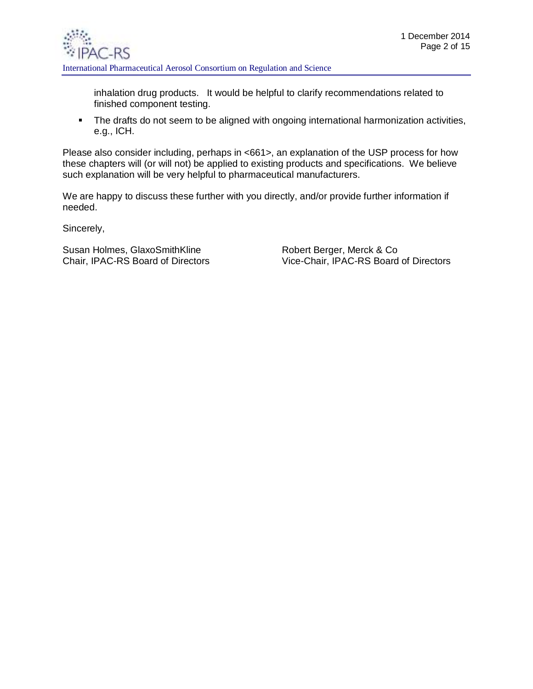

inhalation drug products. It would be helpful to clarify recommendations related to finished component testing.

• The drafts do not seem to be aligned with ongoing international harmonization activities, e.g., ICH.

Please also consider including, perhaps in <661>, an explanation of the USP process for how these chapters will (or will not) be applied to existing products and specifications. We believe such explanation will be very helpful to pharmaceutical manufacturers.

We are happy to discuss these further with you directly, and/or provide further information if needed.

Sincerely,

Susan Holmes, GlaxoSmithKline **Robert Berger, Merck & Co** 

Chair, IPAC-RS Board of Directors Vice-Chair, IPAC-RS Board of Directors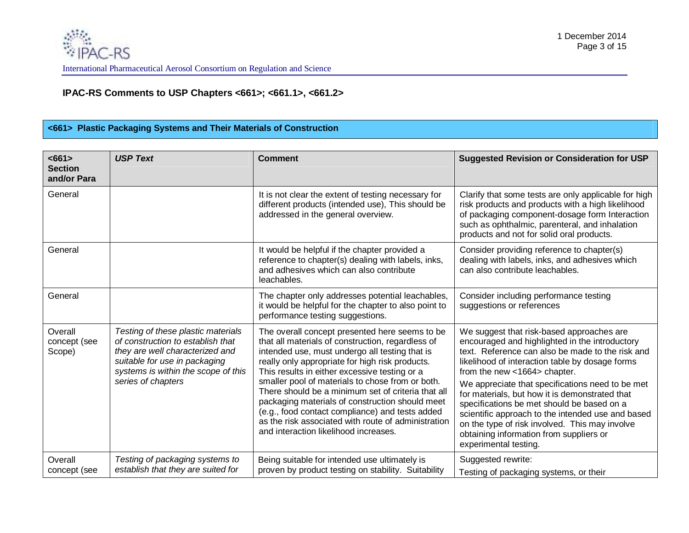# **IPAC-RS Comments to USP Chapters <661>; <661.1>, <661.2>**

#### **<661> Plastic Packaging Systems and Their Materials of Construction**

| $661>$<br><b>Section</b><br>and/or Para | <b>USP Text</b>                                                                                                                                                                                          | <b>Comment</b>                                                                                                                                                                                                                                                                                                                                                                                                                                                                                                                                                            | <b>Suggested Revision or Consideration for USP</b>                                                                                                                                                                                                                                                                                                                                                                                                                                                                                                                |
|-----------------------------------------|----------------------------------------------------------------------------------------------------------------------------------------------------------------------------------------------------------|---------------------------------------------------------------------------------------------------------------------------------------------------------------------------------------------------------------------------------------------------------------------------------------------------------------------------------------------------------------------------------------------------------------------------------------------------------------------------------------------------------------------------------------------------------------------------|-------------------------------------------------------------------------------------------------------------------------------------------------------------------------------------------------------------------------------------------------------------------------------------------------------------------------------------------------------------------------------------------------------------------------------------------------------------------------------------------------------------------------------------------------------------------|
| General                                 |                                                                                                                                                                                                          | It is not clear the extent of testing necessary for<br>different products (intended use), This should be<br>addressed in the general overview.                                                                                                                                                                                                                                                                                                                                                                                                                            | Clarify that some tests are only applicable for high<br>risk products and products with a high likelihood<br>of packaging component-dosage form Interaction<br>such as ophthalmic, parenteral, and inhalation<br>products and not for solid oral products.                                                                                                                                                                                                                                                                                                        |
| General                                 |                                                                                                                                                                                                          | It would be helpful if the chapter provided a<br>reference to chapter(s) dealing with labels, inks,<br>and adhesives which can also contribute<br>leachables.                                                                                                                                                                                                                                                                                                                                                                                                             | Consider providing reference to chapter(s)<br>dealing with labels, inks, and adhesives which<br>can also contribute leachables.                                                                                                                                                                                                                                                                                                                                                                                                                                   |
| General                                 |                                                                                                                                                                                                          | The chapter only addresses potential leachables,<br>it would be helpful for the chapter to also point to<br>performance testing suggestions.                                                                                                                                                                                                                                                                                                                                                                                                                              | Consider including performance testing<br>suggestions or references                                                                                                                                                                                                                                                                                                                                                                                                                                                                                               |
| Overall<br>concept (see<br>Scope)       | Testing of these plastic materials<br>of construction to establish that<br>they are well characterized and<br>suitable for use in packaging<br>systems is within the scope of this<br>series of chapters | The overall concept presented here seems to be<br>that all materials of construction, regardless of<br>intended use, must undergo all testing that is<br>really only appropriate for high risk products.<br>This results in either excessive testing or a<br>smaller pool of materials to chose from or both.<br>There should be a minimum set of criteria that all<br>packaging materials of construction should meet<br>(e.g., food contact compliance) and tests added<br>as the risk associated with route of administration<br>and interaction likelihood increases. | We suggest that risk-based approaches are<br>encouraged and highlighted in the introductory<br>text. Reference can also be made to the risk and<br>likelihood of interaction table by dosage forms<br>from the new <1664> chapter.<br>We appreciate that specifications need to be met<br>for materials, but how it is demonstrated that<br>specifications be met should be based on a<br>scientific approach to the intended use and based<br>on the type of risk involved. This may involve<br>obtaining information from suppliers or<br>experimental testing. |
| Overall<br>concept (see                 | Testing of packaging systems to<br>establish that they are suited for                                                                                                                                    | Being suitable for intended use ultimately is<br>proven by product testing on stability. Suitability                                                                                                                                                                                                                                                                                                                                                                                                                                                                      | Suggested rewrite:<br>Testing of packaging systems, or their                                                                                                                                                                                                                                                                                                                                                                                                                                                                                                      |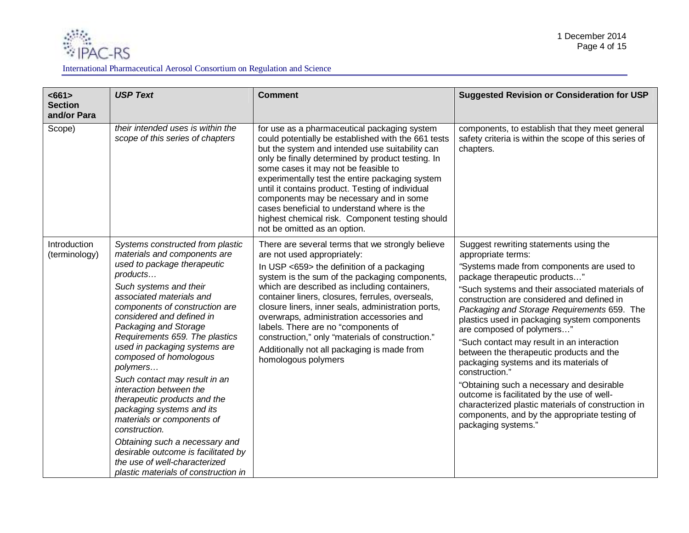

| <661><br><b>Section</b><br>and/or Para | <b>USP Text</b>                                                                                                                                                                                                                                                                                                                                                                                                                                                                                                                                                                                                                                                                              | <b>Comment</b>                                                                                                                                                                                                                                                                                                                                                                                                                                                                                                                                          | <b>Suggested Revision or Consideration for USP</b>                                                                                                                                                                                                                                                                                                                                                                                                                                                                                                                                                                                                                                                                                                     |
|----------------------------------------|----------------------------------------------------------------------------------------------------------------------------------------------------------------------------------------------------------------------------------------------------------------------------------------------------------------------------------------------------------------------------------------------------------------------------------------------------------------------------------------------------------------------------------------------------------------------------------------------------------------------------------------------------------------------------------------------|---------------------------------------------------------------------------------------------------------------------------------------------------------------------------------------------------------------------------------------------------------------------------------------------------------------------------------------------------------------------------------------------------------------------------------------------------------------------------------------------------------------------------------------------------------|--------------------------------------------------------------------------------------------------------------------------------------------------------------------------------------------------------------------------------------------------------------------------------------------------------------------------------------------------------------------------------------------------------------------------------------------------------------------------------------------------------------------------------------------------------------------------------------------------------------------------------------------------------------------------------------------------------------------------------------------------------|
| Scope)                                 | their intended uses is within the<br>scope of this series of chapters                                                                                                                                                                                                                                                                                                                                                                                                                                                                                                                                                                                                                        | for use as a pharmaceutical packaging system<br>could potentially be established with the 661 tests<br>but the system and intended use suitability can<br>only be finally determined by product testing. In<br>some cases it may not be feasible to<br>experimentally test the entire packaging system<br>until it contains product. Testing of individual<br>components may be necessary and in some<br>cases beneficial to understand where is the<br>highest chemical risk. Component testing should<br>not be omitted as an option.                 | components, to establish that they meet general<br>safety criteria is within the scope of this series of<br>chapters.                                                                                                                                                                                                                                                                                                                                                                                                                                                                                                                                                                                                                                  |
| Introduction<br>(terminology)          | Systems constructed from plastic<br>materials and components are<br>used to package therapeutic<br>products<br>Such systems and their<br>associated materials and<br>components of construction are<br>considered and defined in<br>Packaging and Storage<br>Requirements 659. The plastics<br>used in packaging systems are<br>composed of homologous<br>polymers<br>Such contact may result in an<br>interaction between the<br>therapeutic products and the<br>packaging systems and its<br>materials or components of<br>construction.<br>Obtaining such a necessary and<br>desirable outcome is facilitated by<br>the use of well-characterized<br>plastic materials of construction in | There are several terms that we strongly believe<br>are not used appropriately:<br>In USP <659> the definition of a packaging<br>system is the sum of the packaging components,<br>which are described as including containers,<br>container liners, closures, ferrules, overseals,<br>closure liners, inner seals, administration ports,<br>overwraps, administration accessories and<br>labels. There are no "components of<br>construction," only "materials of construction."<br>Additionally not all packaging is made from<br>homologous polymers | Suggest rewriting statements using the<br>appropriate terms:<br>"Systems made from components are used to<br>package therapeutic products"<br>"Such systems and their associated materials of<br>construction are considered and defined in<br>Packaging and Storage Requirements 659. The<br>plastics used in packaging system components<br>are composed of polymers"<br>"Such contact may result in an interaction<br>between the therapeutic products and the<br>packaging systems and its materials of<br>construction."<br>"Obtaining such a necessary and desirable<br>outcome is facilitated by the use of well-<br>characterized plastic materials of construction in<br>components, and by the appropriate testing of<br>packaging systems." |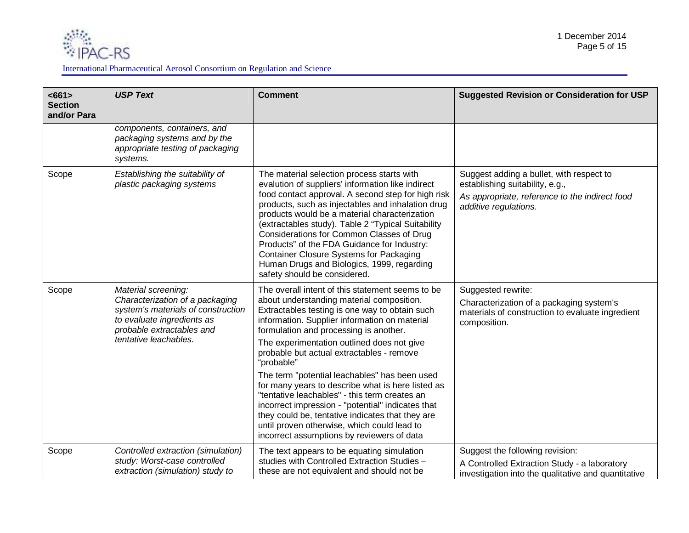

| < 661<br><b>Section</b><br>and/or Para | <b>USP Text</b>                                                                                                                                                                  | <b>Comment</b>                                                                                                                                                                                                                                                                                                                                                                                                                                                                                                                                                                                                                                                                                                   | <b>Suggested Revision or Consideration for USP</b>                                                                                                     |
|----------------------------------------|----------------------------------------------------------------------------------------------------------------------------------------------------------------------------------|------------------------------------------------------------------------------------------------------------------------------------------------------------------------------------------------------------------------------------------------------------------------------------------------------------------------------------------------------------------------------------------------------------------------------------------------------------------------------------------------------------------------------------------------------------------------------------------------------------------------------------------------------------------------------------------------------------------|--------------------------------------------------------------------------------------------------------------------------------------------------------|
|                                        | components, containers, and<br>packaging systems and by the<br>appropriate testing of packaging<br>systems.                                                                      |                                                                                                                                                                                                                                                                                                                                                                                                                                                                                                                                                                                                                                                                                                                  |                                                                                                                                                        |
| Scope                                  | Establishing the suitability of<br>plastic packaging systems                                                                                                                     | The material selection process starts with<br>evalution of suppliers' information like indirect<br>food contact approval. A second step for high risk<br>products, such as injectables and inhalation drug<br>products would be a material characterization<br>(extractables study). Table 2 "Typical Suitability<br>Considerations for Common Classes of Drug<br>Products" of the FDA Guidance for Industry:<br><b>Container Closure Systems for Packaging</b><br>Human Drugs and Biologics, 1999, regarding<br>safety should be considered.                                                                                                                                                                    | Suggest adding a bullet, with respect to<br>establishing suitability, e.g.,<br>As appropriate, reference to the indirect food<br>additive regulations. |
| Scope                                  | Material screening:<br>Characterization of a packaging<br>system's materials of construction<br>to evaluate ingredients as<br>probable extractables and<br>tentative leachables. | The overall intent of this statement seems to be<br>about understanding material composition.<br>Extractables testing is one way to obtain such<br>information. Supplier information on material<br>formulation and processing is another.<br>The experimentation outlined does not give<br>probable but actual extractables - remove<br>"probable"<br>The term "potential leachables" has been used<br>for many years to describe what is here listed as<br>"tentative leachables" - this term creates an<br>incorrect impression - "potential" indicates that<br>they could be, tentative indicates that they are<br>until proven otherwise, which could lead to<br>incorrect assumptions by reviewers of data | Suggested rewrite:<br>Characterization of a packaging system's<br>materials of construction to evaluate ingredient<br>composition.                     |
| Scope                                  | Controlled extraction (simulation)<br>study: Worst-case controlled<br>extraction (simulation) study to                                                                           | The text appears to be equating simulation<br>studies with Controlled Extraction Studies -<br>these are not equivalent and should not be                                                                                                                                                                                                                                                                                                                                                                                                                                                                                                                                                                         | Suggest the following revision:<br>A Controlled Extraction Study - a laboratory<br>investigation into the qualitative and quantitative                 |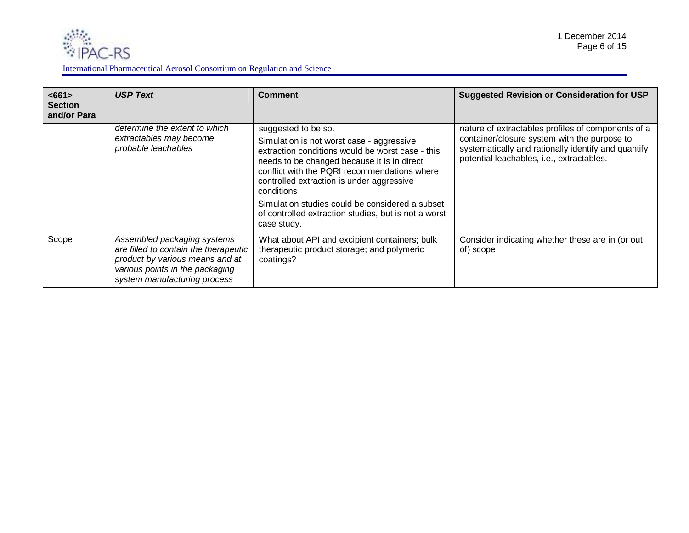

| <661><br><b>Section</b><br>and/or Para | <b>USP Text</b>                                                                                                                                                            | <b>Comment</b>                                                                                                                                                                                                                                                                                                                                                                                           | <b>Suggested Revision or Consideration for USP</b>                                                                                                                                                     |
|----------------------------------------|----------------------------------------------------------------------------------------------------------------------------------------------------------------------------|----------------------------------------------------------------------------------------------------------------------------------------------------------------------------------------------------------------------------------------------------------------------------------------------------------------------------------------------------------------------------------------------------------|--------------------------------------------------------------------------------------------------------------------------------------------------------------------------------------------------------|
|                                        | determine the extent to which<br>extractables may become<br>probable leachables                                                                                            | suggested to be so.<br>Simulation is not worst case - aggressive<br>extraction conditions would be worst case - this<br>needs to be changed because it is in direct<br>conflict with the PQRI recommendations where<br>controlled extraction is under aggressive<br>conditions<br>Simulation studies could be considered a subset<br>of controlled extraction studies, but is not a worst<br>case study. | nature of extractables profiles of components of a<br>container/closure system with the purpose to<br>systematically and rationally identify and quantify<br>potential leachables, i.e., extractables. |
| Scope                                  | Assembled packaging systems<br>are filled to contain the therapeutic<br>product by various means and at<br>various points in the packaging<br>system manufacturing process | What about API and excipient containers; bulk<br>therapeutic product storage; and polymeric<br>coatings?                                                                                                                                                                                                                                                                                                 | Consider indicating whether these are in (or out<br>of) scope                                                                                                                                          |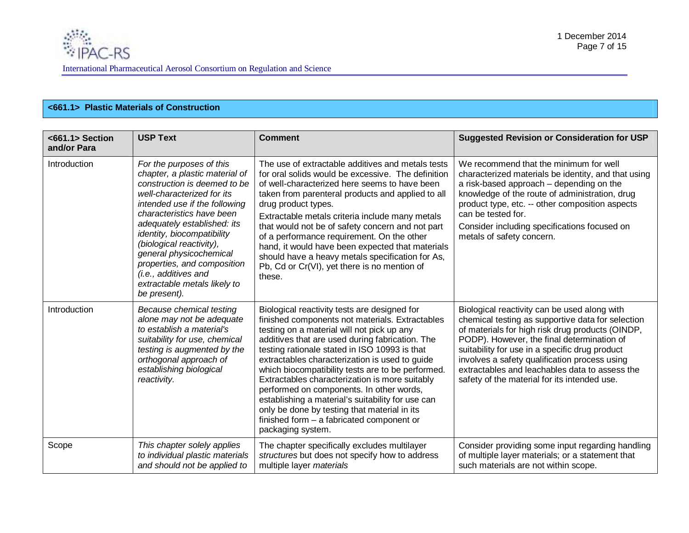## **<661.1> Plastic Materials of Construction**

| <661.1>Section<br>and/or Para | <b>USP Text</b>                                                                                                                                                                                                                                                                                                                                                                                                   | <b>Comment</b>                                                                                                                                                                                                                                                                                                                                                                                                                                                                                                                                                                                                                  | <b>Suggested Revision or Consideration for USP</b>                                                                                                                                                                                                                                                                                                                                                       |
|-------------------------------|-------------------------------------------------------------------------------------------------------------------------------------------------------------------------------------------------------------------------------------------------------------------------------------------------------------------------------------------------------------------------------------------------------------------|---------------------------------------------------------------------------------------------------------------------------------------------------------------------------------------------------------------------------------------------------------------------------------------------------------------------------------------------------------------------------------------------------------------------------------------------------------------------------------------------------------------------------------------------------------------------------------------------------------------------------------|----------------------------------------------------------------------------------------------------------------------------------------------------------------------------------------------------------------------------------------------------------------------------------------------------------------------------------------------------------------------------------------------------------|
| Introduction                  | For the purposes of this<br>chapter, a plastic material of<br>construction is deemed to be<br>well-characterized for its<br>intended use if the following<br>characteristics have been<br>adequately established: its<br>identity, biocompatibility<br>(biological reactivity),<br>general physicochemical<br>properties, and composition<br>(i.e., additives and<br>extractable metals likely to<br>be present). | The use of extractable additives and metals tests<br>for oral solids would be excessive. The definition<br>of well-characterized here seems to have been<br>taken from parenteral products and applied to all<br>drug product types.<br>Extractable metals criteria include many metals<br>that would not be of safety concern and not part<br>of a performance requirement. On the other<br>hand, it would have been expected that materials<br>should have a heavy metals specification for As,<br>Pb, Cd or Cr(VI), yet there is no mention of<br>these.                                                                     | We recommend that the minimum for well<br>characterized materials be identity, and that using<br>a risk-based approach – depending on the<br>knowledge of the route of administration, drug<br>product type, etc. -- other composition aspects<br>can be tested for.<br>Consider including specifications focused on<br>metals of safety concern.                                                        |
| Introduction                  | Because chemical testing<br>alone may not be adequate<br>to establish a material's<br>suitability for use, chemical<br>testing is augmented by the<br>orthogonal approach of<br>establishing biological<br>reactivity.                                                                                                                                                                                            | Biological reactivity tests are designed for<br>finished components not materials. Extractables<br>testing on a material will not pick up any<br>additives that are used during fabrication. The<br>testing rationale stated in ISO 10993 is that<br>extractables characterization is used to guide<br>which biocompatibility tests are to be performed.<br>Extractables characterization is more suitably<br>performed on components. In other words,<br>establishing a material's suitability for use can<br>only be done by testing that material in its<br>finished form $-$ a fabricated component or<br>packaging system. | Biological reactivity can be used along with<br>chemical testing as supportive data for selection<br>of materials for high risk drug products (OINDP,<br>PODP). However, the final determination of<br>suitability for use in a specific drug product<br>involves a safety qualification process using<br>extractables and leachables data to assess the<br>safety of the material for its intended use. |
| Scope                         | This chapter solely applies<br>to individual plastic materials<br>and should not be applied to                                                                                                                                                                                                                                                                                                                    | The chapter specifically excludes multilayer<br>structures but does not specify how to address<br>multiple layer materials                                                                                                                                                                                                                                                                                                                                                                                                                                                                                                      | Consider providing some input regarding handling<br>of multiple layer materials; or a statement that<br>such materials are not within scope.                                                                                                                                                                                                                                                             |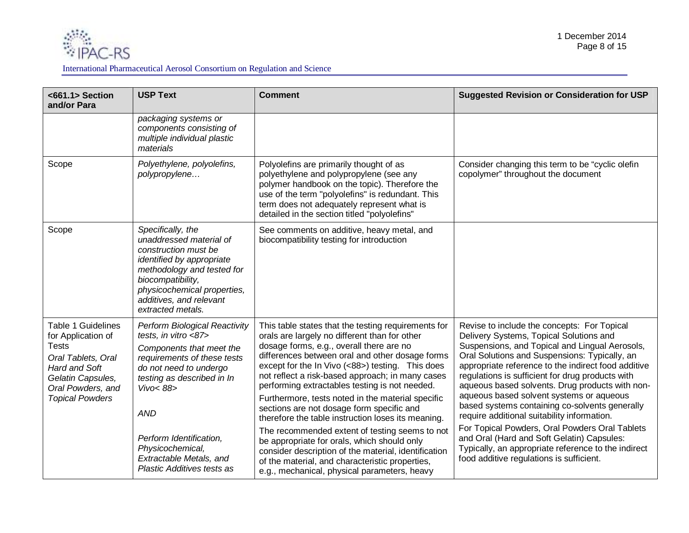

| <661.1> Section<br>and/or Para                                                                                                                                             | <b>USP Text</b>                                                                                                                                                                                                                                                                                                   | <b>Comment</b>                                                                                                                                                                                                                                                                                                                                                                                                                                                                                                                                                                                                                                                                                                                                                                    | <b>Suggested Revision or Consideration for USP</b>                                                                                                                                                                                                                                                                                                                                                                                                                                                                                                                                                                                                                                                      |
|----------------------------------------------------------------------------------------------------------------------------------------------------------------------------|-------------------------------------------------------------------------------------------------------------------------------------------------------------------------------------------------------------------------------------------------------------------------------------------------------------------|-----------------------------------------------------------------------------------------------------------------------------------------------------------------------------------------------------------------------------------------------------------------------------------------------------------------------------------------------------------------------------------------------------------------------------------------------------------------------------------------------------------------------------------------------------------------------------------------------------------------------------------------------------------------------------------------------------------------------------------------------------------------------------------|---------------------------------------------------------------------------------------------------------------------------------------------------------------------------------------------------------------------------------------------------------------------------------------------------------------------------------------------------------------------------------------------------------------------------------------------------------------------------------------------------------------------------------------------------------------------------------------------------------------------------------------------------------------------------------------------------------|
|                                                                                                                                                                            | packaging systems or<br>components consisting of<br>multiple individual plastic<br>materials                                                                                                                                                                                                                      |                                                                                                                                                                                                                                                                                                                                                                                                                                                                                                                                                                                                                                                                                                                                                                                   |                                                                                                                                                                                                                                                                                                                                                                                                                                                                                                                                                                                                                                                                                                         |
| Scope                                                                                                                                                                      | Polyethylene, polyolefins,<br>polypropylene                                                                                                                                                                                                                                                                       | Polyolefins are primarily thought of as<br>polyethylene and polypropylene (see any<br>polymer handbook on the topic). Therefore the<br>use of the term "polyolefins" is redundant. This<br>term does not adequately represent what is<br>detailed in the section titled "polyolefins"                                                                                                                                                                                                                                                                                                                                                                                                                                                                                             | Consider changing this term to be "cyclic olefin<br>copolymer" throughout the document                                                                                                                                                                                                                                                                                                                                                                                                                                                                                                                                                                                                                  |
| Scope                                                                                                                                                                      | Specifically, the<br>unaddressed material of<br>construction must be<br>identified by appropriate<br>methodology and tested for<br>biocompatibility,<br>physicochemical properties,<br>additives, and relevant<br>extracted metals.                                                                               | See comments on additive, heavy metal, and<br>biocompatibility testing for introduction                                                                                                                                                                                                                                                                                                                                                                                                                                                                                                                                                                                                                                                                                           |                                                                                                                                                                                                                                                                                                                                                                                                                                                                                                                                                                                                                                                                                                         |
| <b>Table 1 Guidelines</b><br>for Application of<br><b>Tests</b><br>Oral Tablets, Oral<br>Hard and Soft<br>Gelatin Capsules,<br>Oral Powders, and<br><b>Topical Powders</b> | <b>Perform Biological Reactivity</b><br>tests, in vitro <87><br>Components that meet the<br>requirements of these tests<br>do not need to undergo<br>testing as described in In<br>Vivo<88><br><b>AND</b><br>Perform Identification,<br>Physicochemical,<br>Extractable Metals, and<br>Plastic Additives tests as | This table states that the testing requirements for<br>orals are largely no different than for other<br>dosage forms, e.g., overall there are no<br>differences between oral and other dosage forms<br>except for the In Vivo (<88>) testing. This does<br>not reflect a risk-based approach; in many cases<br>performing extractables testing is not needed.<br>Furthermore, tests noted in the material specific<br>sections are not dosage form specific and<br>therefore the table instruction loses its meaning.<br>The recommended extent of testing seems to not<br>be appropriate for orals, which should only<br>consider description of the material, identification<br>of the material, and characteristic properties,<br>e.g., mechanical, physical parameters, heavy | Revise to include the concepts: For Topical<br>Delivery Systems, Topical Solutions and<br>Suspensions, and Topical and Lingual Aerosols,<br>Oral Solutions and Suspensions: Typically, an<br>appropriate reference to the indirect food additive<br>regulations is sufficient for drug products with<br>aqueous based solvents. Drug products with non-<br>aqueous based solvent systems or aqueous<br>based systems containing co-solvents generally<br>require additional suitability information.<br>For Topical Powders, Oral Powders Oral Tablets<br>and Oral (Hard and Soft Gelatin) Capsules:<br>Typically, an appropriate reference to the indirect<br>food additive regulations is sufficient. |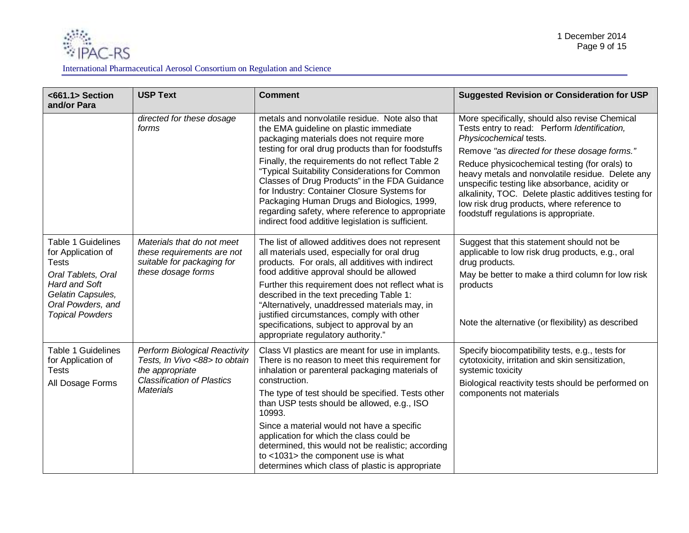

| <661.1> Section<br>and/or Para                                                                                                                                             | <b>USP Text</b>                                                                                                                                   | <b>Comment</b>                                                                                                                                                                                                                                                                                                                                                                                                                                                                                                                                           | <b>Suggested Revision or Consideration for USP</b>                                                                                                                                                                                                                                                                                                                                                                                                                              |
|----------------------------------------------------------------------------------------------------------------------------------------------------------------------------|---------------------------------------------------------------------------------------------------------------------------------------------------|----------------------------------------------------------------------------------------------------------------------------------------------------------------------------------------------------------------------------------------------------------------------------------------------------------------------------------------------------------------------------------------------------------------------------------------------------------------------------------------------------------------------------------------------------------|---------------------------------------------------------------------------------------------------------------------------------------------------------------------------------------------------------------------------------------------------------------------------------------------------------------------------------------------------------------------------------------------------------------------------------------------------------------------------------|
|                                                                                                                                                                            | directed for these dosage<br>forms                                                                                                                | metals and nonvolatile residue. Note also that<br>the EMA guideline on plastic immediate<br>packaging materials does not require more<br>testing for oral drug products than for foodstuffs<br>Finally, the requirements do not reflect Table 2<br>"Typical Suitability Considerations for Common<br>Classes of Drug Products" in the FDA Guidance<br>for Industry: Container Closure Systems for<br>Packaging Human Drugs and Biologics, 1999,<br>regarding safety, where reference to appropriate<br>indirect food additive legislation is sufficient. | More specifically, should also revise Chemical<br>Tests entry to read: Perform Identification,<br>Physicochemical tests.<br>Remove "as directed for these dosage forms."<br>Reduce physicochemical testing (for orals) to<br>heavy metals and nonvolatile residue. Delete any<br>unspecific testing like absorbance, acidity or<br>alkalinity, TOC. Delete plastic additives testing for<br>low risk drug products, where reference to<br>foodstuff regulations is appropriate. |
| <b>Table 1 Guidelines</b><br>for Application of<br><b>Tests</b><br>Oral Tablets, Oral<br>Hard and Soft<br>Gelatin Capsules,<br>Oral Powders, and<br><b>Topical Powders</b> | Materials that do not meet<br>these requirements are not<br>suitable for packaging for<br>these dosage forms                                      | The list of allowed additives does not represent<br>all materials used, especially for oral drug<br>products. For orals, all additives with indirect<br>food additive approval should be allowed<br>Further this requirement does not reflect what is<br>described in the text preceding Table 1:<br>"Alternatively, unaddressed materials may, in<br>justified circumstances, comply with other<br>specifications, subject to approval by an<br>appropriate regulatory authority."                                                                      | Suggest that this statement should not be<br>applicable to low risk drug products, e.g., oral<br>drug products.<br>May be better to make a third column for low risk<br>products<br>Note the alternative (or flexibility) as described                                                                                                                                                                                                                                          |
| <b>Table 1 Guidelines</b><br>for Application of<br><b>Tests</b><br>All Dosage Forms                                                                                        | <b>Perform Biological Reactivity</b><br>Tests, In Vivo <88> to obtain<br>the appropriate<br><b>Classification of Plastics</b><br><b>Materials</b> | Class VI plastics are meant for use in implants.<br>There is no reason to meet this requirement for<br>inhalation or parenteral packaging materials of<br>construction.<br>The type of test should be specified. Tests other<br>than USP tests should be allowed, e.g., ISO<br>10993.<br>Since a material would not have a specific<br>application for which the class could be<br>determined, this would not be realistic; according<br>to <1031> the component use is what<br>determines which class of plastic is appropriate                         | Specify biocompatibility tests, e.g., tests for<br>cytotoxicity, irritation and skin sensitization,<br>systemic toxicity<br>Biological reactivity tests should be performed on<br>components not materials                                                                                                                                                                                                                                                                      |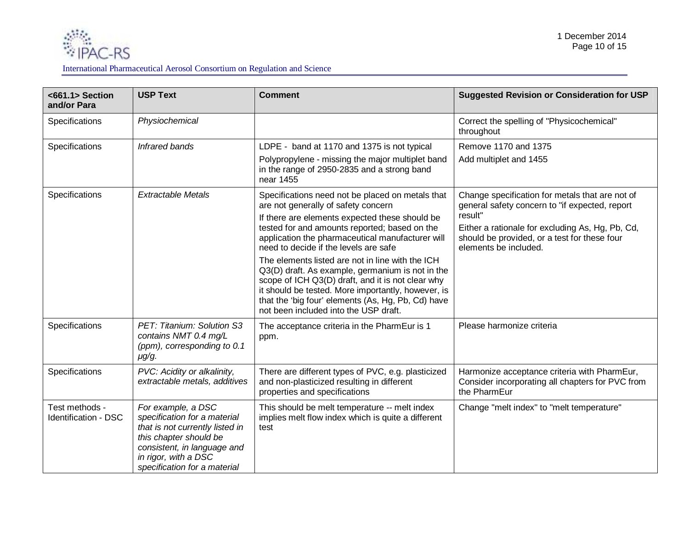

| <661.1> Section<br>and/or Para         | <b>USP Text</b>                                                                                                                                                                                        | <b>Comment</b>                                                                                                                                                                                                                                                                                                 | <b>Suggested Revision or Consideration for USP</b>                                                                                   |
|----------------------------------------|--------------------------------------------------------------------------------------------------------------------------------------------------------------------------------------------------------|----------------------------------------------------------------------------------------------------------------------------------------------------------------------------------------------------------------------------------------------------------------------------------------------------------------|--------------------------------------------------------------------------------------------------------------------------------------|
| Specifications                         | Physiochemical                                                                                                                                                                                         |                                                                                                                                                                                                                                                                                                                | Correct the spelling of "Physicochemical"<br>throughout                                                                              |
| Specifications                         | <b>Infrared bands</b>                                                                                                                                                                                  | LDPE - band at 1170 and 1375 is not typical                                                                                                                                                                                                                                                                    | Remove 1170 and 1375                                                                                                                 |
|                                        |                                                                                                                                                                                                        | Polypropylene - missing the major multiplet band<br>in the range of 2950-2835 and a strong band<br>near 1455                                                                                                                                                                                                   | Add multiplet and 1455                                                                                                               |
| Specifications                         | <b>Extractable Metals</b>                                                                                                                                                                              | Specifications need not be placed on metals that<br>are not generally of safety concern                                                                                                                                                                                                                        | Change specification for metals that are not of<br>general safety concern to "if expected, report                                    |
|                                        |                                                                                                                                                                                                        | If there are elements expected these should be<br>tested for and amounts reported; based on the<br>application the pharmaceutical manufacturer will<br>need to decide if the levels are safe                                                                                                                   | result"<br>Either a rationale for excluding As, Hg, Pb, Cd,<br>should be provided, or a test for these four<br>elements be included. |
|                                        |                                                                                                                                                                                                        | The elements listed are not in line with the ICH<br>Q3(D) draft. As example, germanium is not in the<br>scope of ICH Q3(D) draft, and it is not clear why<br>it should be tested. More importantly, however, is<br>that the 'big four' elements (As, Hg, Pb, Cd) have<br>not been included into the USP draft. |                                                                                                                                      |
| Specifications                         | PET: Titanium: Solution S3<br>contains NMT 0.4 mg/L<br>(ppm), corresponding to 0.1<br>$\mu$ g/g.                                                                                                       | The acceptance criteria in the PharmEur is 1<br>ppm.                                                                                                                                                                                                                                                           | Please harmonize criteria                                                                                                            |
| Specifications                         | PVC: Acidity or alkalinity,<br>extractable metals, additives                                                                                                                                           | There are different types of PVC, e.g. plasticized<br>and non-plasticized resulting in different<br>properties and specifications                                                                                                                                                                              | Harmonize acceptance criteria with PharmEur,<br>Consider incorporating all chapters for PVC from<br>the PharmEur                     |
| Test methods -<br>Identification - DSC | For example, a DSC<br>specification for a material<br>that is not currently listed in<br>this chapter should be<br>consistent, in language and<br>in rigor, with a DSC<br>specification for a material | This should be melt temperature -- melt index<br>implies melt flow index which is quite a different<br>test                                                                                                                                                                                                    | Change "melt index" to "melt temperature"                                                                                            |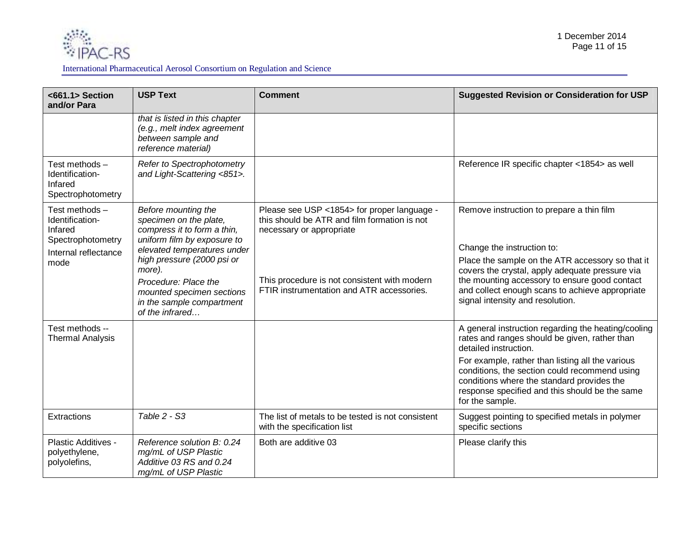

| <661.1>Section<br>and/or Para                                                                    | <b>USP Text</b>                                                                                                                                                                                                                                                                         | <b>Comment</b>                                                                                                                                                                                                       | <b>Suggested Revision or Consideration for USP</b>                                                                                                                                                                                                                                                                                                    |
|--------------------------------------------------------------------------------------------------|-----------------------------------------------------------------------------------------------------------------------------------------------------------------------------------------------------------------------------------------------------------------------------------------|----------------------------------------------------------------------------------------------------------------------------------------------------------------------------------------------------------------------|-------------------------------------------------------------------------------------------------------------------------------------------------------------------------------------------------------------------------------------------------------------------------------------------------------------------------------------------------------|
|                                                                                                  | that is listed in this chapter<br>(e.g., melt index agreement<br>between sample and<br>reference material)                                                                                                                                                                              |                                                                                                                                                                                                                      |                                                                                                                                                                                                                                                                                                                                                       |
| Test methods -<br>Identification-<br>Infared<br>Spectrophotometry                                | Refer to Spectrophotometry<br>and Light-Scattering <851>.                                                                                                                                                                                                                               |                                                                                                                                                                                                                      | Reference IR specific chapter <1854> as well                                                                                                                                                                                                                                                                                                          |
| Test methods-<br>Identification-<br>Infared<br>Spectrophotometry<br>Internal reflectance<br>mode | Before mounting the<br>specimen on the plate,<br>compress it to form a thin,<br>uniform film by exposure to<br>elevated temperatures under<br>high pressure (2000 psi or<br>more).<br>Procedure: Place the<br>mounted specimen sections<br>in the sample compartment<br>of the infrared | Please see USP <1854> for proper language -<br>this should be ATR and film formation is not<br>necessary or appropriate<br>This procedure is not consistent with modern<br>FTIR instrumentation and ATR accessories. | Remove instruction to prepare a thin film<br>Change the instruction to:<br>Place the sample on the ATR accessory so that it<br>covers the crystal, apply adequate pressure via<br>the mounting accessory to ensure good contact<br>and collect enough scans to achieve appropriate<br>signal intensity and resolution.                                |
| Test methods --<br><b>Thermal Analysis</b>                                                       |                                                                                                                                                                                                                                                                                         |                                                                                                                                                                                                                      | A general instruction regarding the heating/cooling<br>rates and ranges should be given, rather than<br>detailed instruction.<br>For example, rather than listing all the various<br>conditions, the section could recommend using<br>conditions where the standard provides the<br>response specified and this should be the same<br>for the sample. |
| Extractions                                                                                      | Table 2 - S3                                                                                                                                                                                                                                                                            | The list of metals to be tested is not consistent<br>with the specification list                                                                                                                                     | Suggest pointing to specified metals in polymer<br>specific sections                                                                                                                                                                                                                                                                                  |
| Plastic Additives -<br>polyethylene,<br>polyolefins,                                             | Reference solution B: 0.24<br>mg/mL of USP Plastic<br>Additive 03 RS and 0.24<br>mg/mL of USP Plastic                                                                                                                                                                                   | Both are additive 03                                                                                                                                                                                                 | Please clarify this                                                                                                                                                                                                                                                                                                                                   |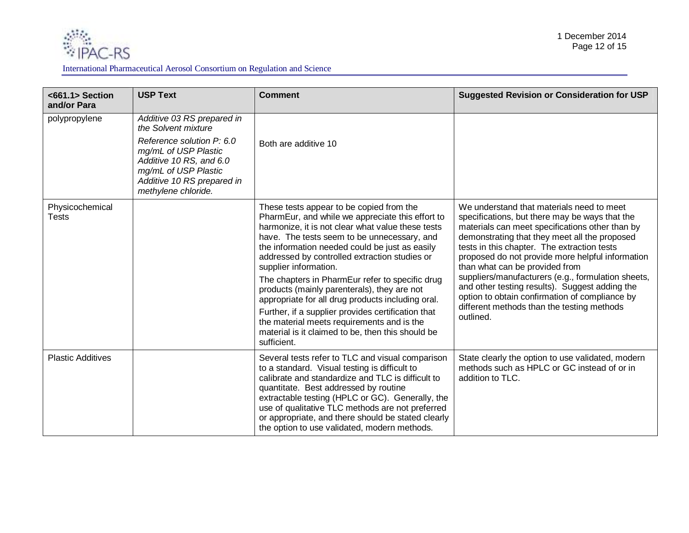

### International Pharmaceutical Aerosol Consortium on Regulation and Science

| <661.1>Section<br>and/or Para | <b>USP Text</b>                                                                                                                                                                                                | <b>Comment</b>                                                                                                                                                                                                                                                                                                                                                                                                                                                                                                                                                                                                                                              | <b>Suggested Revision or Consideration for USP</b>                                                                                                                                                                                                                                                                                                                                                                                                                                                                                                        |
|-------------------------------|----------------------------------------------------------------------------------------------------------------------------------------------------------------------------------------------------------------|-------------------------------------------------------------------------------------------------------------------------------------------------------------------------------------------------------------------------------------------------------------------------------------------------------------------------------------------------------------------------------------------------------------------------------------------------------------------------------------------------------------------------------------------------------------------------------------------------------------------------------------------------------------|-----------------------------------------------------------------------------------------------------------------------------------------------------------------------------------------------------------------------------------------------------------------------------------------------------------------------------------------------------------------------------------------------------------------------------------------------------------------------------------------------------------------------------------------------------------|
| polypropylene                 | Additive 03 RS prepared in<br>the Solvent mixture<br>Reference solution P: 6.0<br>mg/mL of USP Plastic<br>Additive 10 RS, and 6.0<br>mg/mL of USP Plastic<br>Additive 10 RS prepared in<br>methylene chloride. | Both are additive 10                                                                                                                                                                                                                                                                                                                                                                                                                                                                                                                                                                                                                                        |                                                                                                                                                                                                                                                                                                                                                                                                                                                                                                                                                           |
| Physicochemical<br>Tests      |                                                                                                                                                                                                                | These tests appear to be copied from the<br>PharmEur, and while we appreciate this effort to<br>harmonize, it is not clear what value these tests<br>have. The tests seem to be unnecessary, and<br>the information needed could be just as easily<br>addressed by controlled extraction studies or<br>supplier information.<br>The chapters in PharmEur refer to specific drug<br>products (mainly parenterals), they are not<br>appropriate for all drug products including oral.<br>Further, if a supplier provides certification that<br>the material meets requirements and is the<br>material is it claimed to be, then this should be<br>sufficient. | We understand that materials need to meet<br>specifications, but there may be ways that the<br>materials can meet specifications other than by<br>demonstrating that they meet all the proposed<br>tests in this chapter. The extraction tests<br>proposed do not provide more helpful information<br>than what can be provided from<br>suppliers/manufacturers (e.g., formulation sheets,<br>and other testing results). Suggest adding the<br>option to obtain confirmation of compliance by<br>different methods than the testing methods<br>outlined. |
| <b>Plastic Additives</b>      |                                                                                                                                                                                                                | Several tests refer to TLC and visual comparison<br>to a standard. Visual testing is difficult to<br>calibrate and standardize and TLC is difficult to<br>quantitate. Best addressed by routine<br>extractable testing (HPLC or GC). Generally, the<br>use of qualitative TLC methods are not preferred<br>or appropriate, and there should be stated clearly<br>the option to use validated, modern methods.                                                                                                                                                                                                                                               | State clearly the option to use validated, modern<br>methods such as HPLC or GC instead of or in<br>addition to TLC.                                                                                                                                                                                                                                                                                                                                                                                                                                      |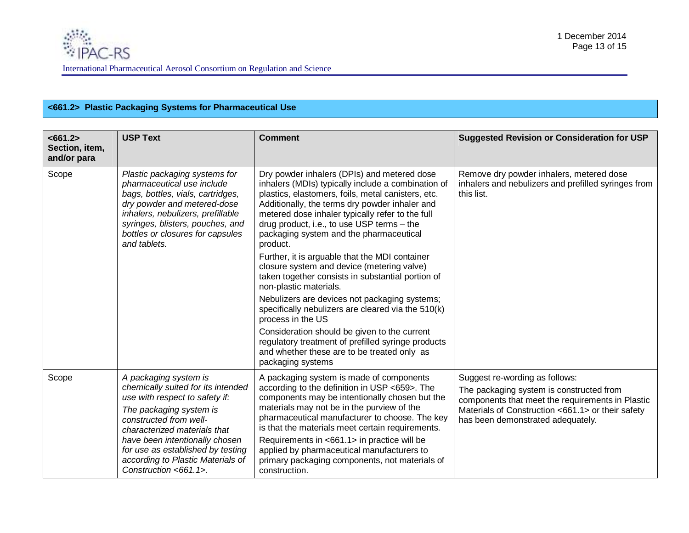## **<661.2> Plastic Packaging Systems for Pharmaceutical Use**

| <661.2><br>Section, item,<br>and/or para | <b>USP Text</b>                                                                                                                                                                                                                                                                                                         | <b>Comment</b>                                                                                                                                                                                                                                                                                                                                                                                                                                                  | <b>Suggested Revision or Consideration for USP</b>                                                                                                                                                                       |
|------------------------------------------|-------------------------------------------------------------------------------------------------------------------------------------------------------------------------------------------------------------------------------------------------------------------------------------------------------------------------|-----------------------------------------------------------------------------------------------------------------------------------------------------------------------------------------------------------------------------------------------------------------------------------------------------------------------------------------------------------------------------------------------------------------------------------------------------------------|--------------------------------------------------------------------------------------------------------------------------------------------------------------------------------------------------------------------------|
| Scope                                    | Plastic packaging systems for<br>pharmaceutical use include<br>bags, bottles, vials, cartridges,<br>dry powder and metered-dose<br>inhalers, nebulizers, prefillable<br>syringes, blisters, pouches, and<br>bottles or closures for capsules<br>and tablets.                                                            | Dry powder inhalers (DPIs) and metered dose<br>inhalers (MDIs) typically include a combination of<br>plastics, elastomers, foils, metal canisters, etc.<br>Additionally, the terms dry powder inhaler and<br>metered dose inhaler typically refer to the full<br>drug product, i.e., to use USP terms - the<br>packaging system and the pharmaceutical<br>product.                                                                                              | Remove dry powder inhalers, metered dose<br>inhalers and nebulizers and prefilled syringes from<br>this list.                                                                                                            |
|                                          |                                                                                                                                                                                                                                                                                                                         | Further, it is arguable that the MDI container<br>closure system and device (metering valve)<br>taken together consists in substantial portion of<br>non-plastic materials.                                                                                                                                                                                                                                                                                     |                                                                                                                                                                                                                          |
|                                          |                                                                                                                                                                                                                                                                                                                         | Nebulizers are devices not packaging systems;<br>specifically nebulizers are cleared via the 510(k)<br>process in the US                                                                                                                                                                                                                                                                                                                                        |                                                                                                                                                                                                                          |
|                                          |                                                                                                                                                                                                                                                                                                                         | Consideration should be given to the current<br>regulatory treatment of prefilled syringe products<br>and whether these are to be treated only as<br>packaging systems                                                                                                                                                                                                                                                                                          |                                                                                                                                                                                                                          |
| Scope                                    | A packaging system is<br>chemically suited for its intended<br>use with respect to safety if:<br>The packaging system is<br>constructed from well-<br>characterized materials that<br>have been intentionally chosen<br>for use as established by testing<br>according to Plastic Materials of<br>Construction <661.1>. | A packaging system is made of components<br>according to the definition in USP <659>. The<br>components may be intentionally chosen but the<br>materials may not be in the purview of the<br>pharmaceutical manufacturer to choose. The key<br>is that the materials meet certain requirements.<br>Requirements in <661.1> in practice will be<br>applied by pharmaceutical manufacturers to<br>primary packaging components, not materials of<br>construction. | Suggest re-wording as follows:<br>The packaging system is constructed from<br>components that meet the requirements in Plastic<br>Materials of Construction <661.1> or their safety<br>has been demonstrated adequately. |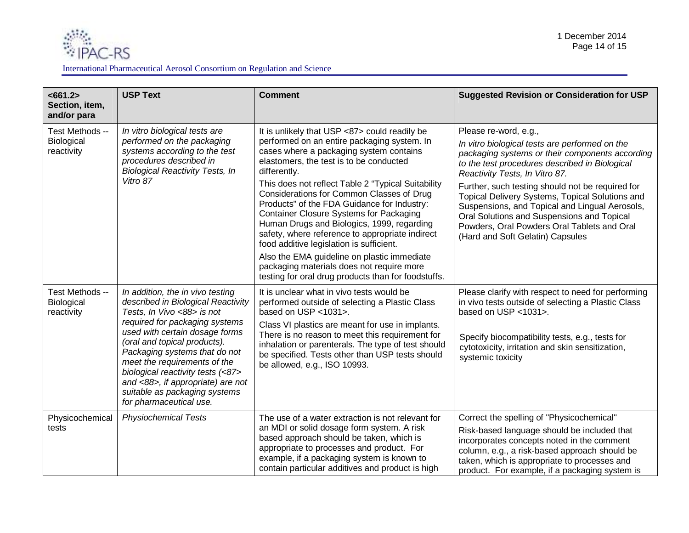

| <661.2><br>Section, item,<br>and/or para    | <b>USP Text</b>                                                                                                                                                                                                                                                                                                                                                                                                 | <b>Comment</b>                                                                                                                                                                                                                                                                                                                                                                                                                                                                                                                                                                                                                                                                                         | <b>Suggested Revision or Consideration for USP</b>                                                                                                                                                                                                                                                                                                                                                                                                                                                       |
|---------------------------------------------|-----------------------------------------------------------------------------------------------------------------------------------------------------------------------------------------------------------------------------------------------------------------------------------------------------------------------------------------------------------------------------------------------------------------|--------------------------------------------------------------------------------------------------------------------------------------------------------------------------------------------------------------------------------------------------------------------------------------------------------------------------------------------------------------------------------------------------------------------------------------------------------------------------------------------------------------------------------------------------------------------------------------------------------------------------------------------------------------------------------------------------------|----------------------------------------------------------------------------------------------------------------------------------------------------------------------------------------------------------------------------------------------------------------------------------------------------------------------------------------------------------------------------------------------------------------------------------------------------------------------------------------------------------|
| Test Methods --<br>Biological<br>reactivity | In vitro biological tests are<br>performed on the packaging<br>systems according to the test<br>procedures described in<br><b>Biological Reactivity Tests, In</b><br>Vitro 87                                                                                                                                                                                                                                   | It is unlikely that USP <87> could readily be<br>performed on an entire packaging system. In<br>cases where a packaging system contains<br>elastomers, the test is to be conducted<br>differently.<br>This does not reflect Table 2 "Typical Suitability<br>Considerations for Common Classes of Drug<br>Products" of the FDA Guidance for Industry:<br><b>Container Closure Systems for Packaging</b><br>Human Drugs and Biologics, 1999, regarding<br>safety, where reference to appropriate indirect<br>food additive legislation is sufficient.<br>Also the EMA guideline on plastic immediate<br>packaging materials does not require more<br>testing for oral drug products than for foodstuffs. | Please re-word, e.g.,<br>In vitro biological tests are performed on the<br>packaging systems or their components according<br>to the test procedures described in Biological<br>Reactivity Tests, In Vitro 87.<br>Further, such testing should not be required for<br>Topical Delivery Systems, Topical Solutions and<br>Suspensions, and Topical and Lingual Aerosols,<br>Oral Solutions and Suspensions and Topical<br>Powders, Oral Powders Oral Tablets and Oral<br>(Hard and Soft Gelatin) Capsules |
| Test Methods --<br>Biological<br>reactivity | In addition, the in vivo testing<br>described in Biological Reactivity<br>Tests, In Vivo <88> is not<br>required for packaging systems<br>used with certain dosage forms<br>(oral and topical products).<br>Packaging systems that do not<br>meet the requirements of the<br>biological reactivity tests (<87><br>and <88>, if appropriate) are not<br>suitable as packaging systems<br>for pharmaceutical use. | It is unclear what in vivo tests would be<br>performed outside of selecting a Plastic Class<br>based on USP <1031>.<br>Class VI plastics are meant for use in implants.<br>There is no reason to meet this requirement for<br>inhalation or parenterals. The type of test should<br>be specified. Tests other than USP tests should<br>be allowed, e.g., ISO 10993.                                                                                                                                                                                                                                                                                                                                    | Please clarify with respect to need for performing<br>in vivo tests outside of selecting a Plastic Class<br>based on USP <1031>.<br>Specify biocompatibility tests, e.g., tests for<br>cytotoxicity, irritation and skin sensitization,<br>systemic toxicity                                                                                                                                                                                                                                             |
| Physicochemical<br>tests                    | <b>Physiochemical Tests</b>                                                                                                                                                                                                                                                                                                                                                                                     | The use of a water extraction is not relevant for<br>an MDI or solid dosage form system. A risk<br>based approach should be taken, which is<br>appropriate to processes and product. For<br>example, if a packaging system is known to<br>contain particular additives and product is high                                                                                                                                                                                                                                                                                                                                                                                                             | Correct the spelling of "Physicochemical"<br>Risk-based language should be included that<br>incorporates concepts noted in the comment<br>column, e.g., a risk-based approach should be<br>taken, which is appropriate to processes and<br>product. For example, if a packaging system is                                                                                                                                                                                                                |